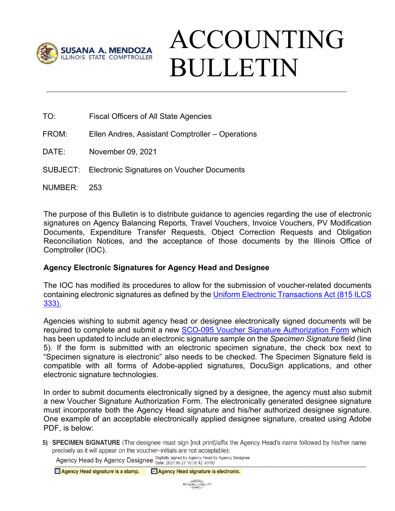

# ACCOUNTING BULLETIN

- TO: Fiscal Officers of All State Agencies
- FROM: Ellen Andres, Assistant Comptroller Operations
- DATE: November 09, 2021
- SUBJECT: Electronic Signatures on Voucher Documents
- NUMBER: 253

The purpose of this Bulletin is to distribute guidance to agencies regarding the use of electronic signatures on Agency Balancing Reports, Travel Vouchers, Invoice Vouchers, PV Modification Documents, Expenditure Transfer Requests, Object Correction Requests and Obligation Reconciliation Notices, and the acceptance of those documents by the Illinois Office of Comptroller (IOC).

## **Agency Electronic Signatures for Agency Head and Designee**

The IOC has modified its procedures to allow for the submission of voucher-related documents containing electronic signatures as defined by the [Uniform Electronic Transactions Act \(815 ILCS](https://witnessslips.ilga.gov/legislation/ilcs/ilcs3.asp?ActID=4165&ChapterID=67)  [333\).](https://witnessslips.ilga.gov/legislation/ilcs/ilcs3.asp?ActID=4165&ChapterID=67)

Agencies wishing to submit agency head or designee electronically signed documents will be required to complete and submit a new SCO-095 Voucher [Signature Authorization Form](https://illinoiscomptroller.gov/agencies/resource-library/accounting-forms/sco-095-voucher-signature-authorization/) which has been updated to include an electronic signature sample on the *Specimen Signature* field (line 5). If the form is submitted with an electronic specimen signature, the check box next to "Specimen signature is electronic" also needs to be checked. The Specimen Signature field is compatible with all forms of Adobe-applied signatures, DocuSign applications, and other electronic signature technologies.

In order to submit documents electronically signed by a designee, the agency must also submit a new Voucher Signature Authorization Form. The electronically generated designee signature must incorporate both the Agency Head signature and his/her authorized designee signature. One example of an acceptable electronically applied designee signature, created using Adobe PDF, is below:

5) SPECIMEN SIGNATURE (The designee must sign [not print]/affix the Agency Head's name followed by his/her name precisely as it will appear on the voucher-initials are not acceptable):

Agency Head by Agency Designee Digitally signed by Agency Head by Agency Designee

Agency Head signature is a stamp.  $\boxed{\sqrt{ }}$  Agency Head signature is electronic.

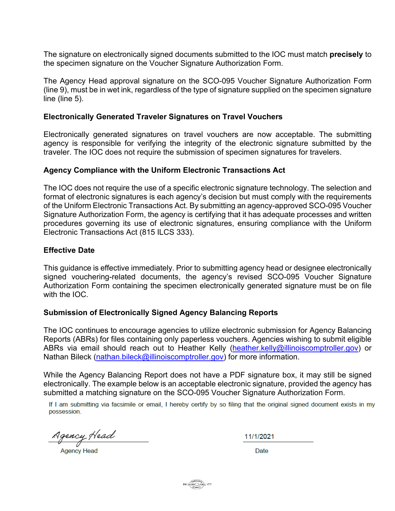The signature on electronically signed documents submitted to the IOC must match **precisely** to the specimen signature on the Voucher Signature Authorization Form.

The Agency Head approval signature on the SCO-095 Voucher Signature Authorization Form (line 9), must be in wet ink, regardless of the type of signature supplied on the specimen signature line (line 5).

#### **Electronically Generated Traveler Signatures on Travel Vouchers**

Electronically generated signatures on travel vouchers are now acceptable. The submitting agency is responsible for verifying the integrity of the electronic signature submitted by the traveler. The IOC does not require the submission of specimen signatures for travelers.

### **Agency Compliance with the Uniform Electronic Transactions Act**

The IOC does not require the use of a specific electronic signature technology. The selection and format of electronic signatures is each agency's decision but must comply with the requirements of the Uniform Electronic Transactions Act. By submitting an agency-approved SCO-095 Voucher Signature Authorization Form, the agency is certifying that it has adequate processes and written procedures governing its use of electronic signatures, ensuring compliance with the Uniform Electronic Transactions Act (815 ILCS 333).

### **Effective Date**

This guidance is effective immediately. Prior to submitting agency head or designee electronically signed vouchering-related documents, the agency's revised SCO-095 Voucher Signature Authorization Form containing the specimen electronically generated signature must be on file with the IOC.

#### **Submission of Electronically Signed Agency Balancing Reports**

The IOC continues to encourage agencies to utilize electronic submission for Agency Balancing Reports (ABRs) for files containing only paperless vouchers. Agencies wishing to submit eligible ABRs via email should reach out to Heather Kelly [\(heather.kelly@illinoiscomptroller.gov\)](mailto:heather.kelly@illinoiscomptroller.gov) or Nathan Bileck [\(nathan.bileck@illinoiscomptroller.gov\)](mailto:nathan.bileck@illinoiscomptroller.gov) for more information.

While the Agency Balancing Report does not have a PDF signature box, it may still be signed electronically. The example below is an acceptable electronic signature, provided the agency has submitted a matching signature on the SCO-095 Voucher Signature Authorization Form.

If I am submitting via facsimile or email, I hereby certify by so filing that the original signed document exists in my possession.

<u> Agency Head</u>

**Agency Head** 

11/1/2021

Date